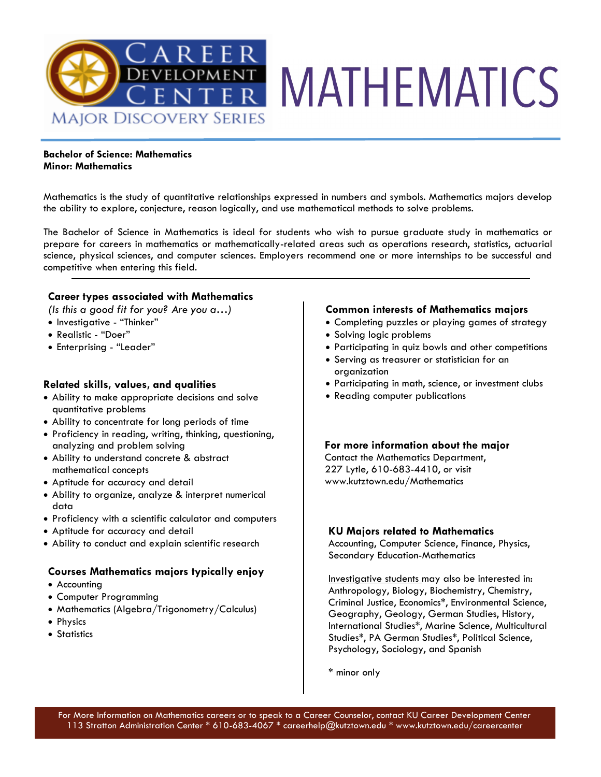

### **Bachelor of Science: Mathematics Minor: Mathematics**

Mathematics is the study of quantitative relationships expressed in numbers and symbols. Mathematics majors develop the ability to explore, conjecture, reason logically, and use mathematical methods to solve problems.

The Bachelor of Science in Mathematics is ideal for students who wish to pursue graduate study in mathematics or prepare for careers in mathematics or mathematically-related areas such as operations research, statistics, actuarial science, physical sciences, and computer sciences. Employers recommend one or more internships to be successful and competitive when entering this field.

# **Career types associated with Mathematics**

*(Is this a good fit for you? Are you a…)*

- Investigative "Thinker"
- Realistic "Doer"
- Enterprising "Leader"

## **Related skills, values, and qualities**

- Ability to make appropriate decisions and solve quantitative problems
- Ability to concentrate for long periods of time
- Proficiency in reading, writing, thinking, questioning, analyzing and problem solving
- Ability to understand concrete & abstract mathematical concepts
- Aptitude for accuracy and detail
- Ability to organize, analyze & interpret numerical data
- Proficiency with a scientific calculator and computers
- Aptitude for accuracy and detail
- Ability to conduct and explain scientific research

## **Courses Mathematics majors typically enjoy**

- Accounting
- Computer Programming
- Mathematics (Algebra/Trigonometry/Calculus)
- Physics
- Statistics

### **Common interests of Mathematics majors**

- Completing puzzles or playing games of strategy
- Solving logic problems
- Participating in quiz bowls and other competitions
- Serving as treasurer or statistician for an organization
- Participating in math, science, or investment clubs
- Reading computer publications

#### **For more information about the major**

Contact the Mathematics Department, 227 Lytle, 610-683-4410, or visit www.kutztown.edu/Mathematics

#### **KU Majors related to Mathematics**

Accounting, Computer Science, Finance, Physics, Secondary Education-Mathematics

Investigative students may also be interested in: Anthropology, Biology, Biochemistry, Chemistry, Criminal Justice, Economics\*, Environmental Science, Geography, Geology, German Studies, History, International Studies\*, Marine Science, Multicultural Studies\*, PA German Studies\*, Political Science, Psychology, Sociology, and Spanish

\* minor only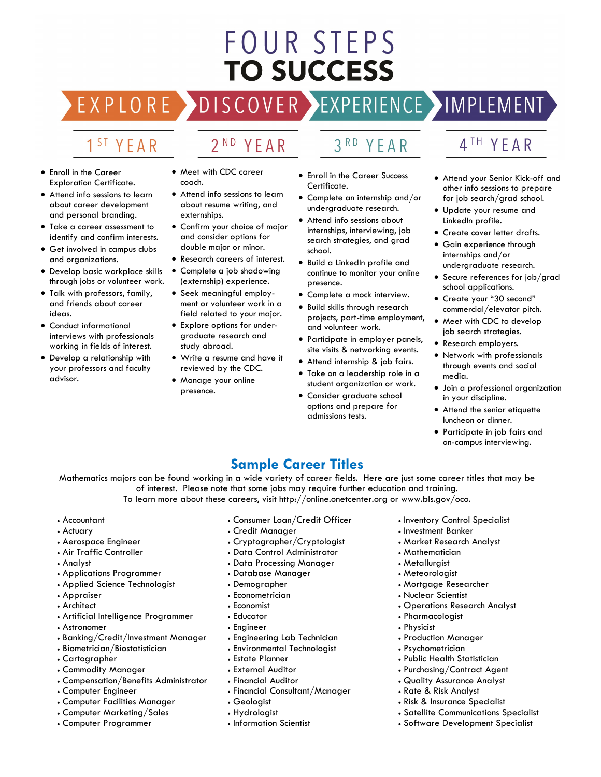# FOUR STEPS **TO SUCCESS**

# DISCOVER EXPERIENCE MOPLEMENT

2<sup>ND</sup> YEAR

# 1<sup>ST</sup> YEAR

EXPLORE >

- Enroll in the Career Exploration Certificate.
- Attend info sessions to learn about career development and personal branding.
- Take a career assessment to identify and confirm interests.
- Get involved in campus clubs and organizations.
- Develop basic workplace skills through jobs or volunteer work.
- Talk with professors, family, and friends about career ideas.
- Conduct informational interviews with professionals working in fields of interest.
- Develop a relationship with your professors and faculty advisor.
- Meet with CDC career coach.
- Attend info sessions to learn about resume writing, and externships.
- Confirm your choice of major and consider options for double major or minor.
- Research careers of interest.
- Complete a job shadowing (externship) experience.
- Seek meaningful employment or volunteer work in a field related to your major.
- Explore options for undergraduate research and study abroad.
- Write a resume and have it reviewed by the CDC.
- Manage your online presence.

# 3RD YEAR

- Enroll in the Career Success Certificate.
- Complete an internship and/or undergraduate research.
- Attend info sessions about internships, interviewing, job search strategies, and grad school.
- Build a LinkedIn profile and continue to monitor your online presence.
- Complete a mock interview.
- Build skills through research projects, part-time employment, and volunteer work.
- Participate in employer panels, site visits & networking events.
- Attend internship & job fairs.
- Take on a leadership role in a student organization or work.
- Consider graduate school options and prepare for admissions tests.

# 4TH YEAR

- Attend your Senior Kick-off and other info sessions to prepare for job search/grad school.
- Update your resume and LinkedIn profile.
- Create cover letter drafts.
- Gain experience through internships and/or undergraduate research.
- Secure references for job/grad school applications.
- Create your "30 second" commercial/elevator pitch.
- Meet with CDC to develop job search strategies.
- Research employers.
- Network with professionals through events and social media.
- Join a professional organization in your discipline.
- Attend the senior etiquette luncheon or dinner.
- Participate in job fairs and on-campus interviewing.

# **Sample Career Titles**

Mathematics majors can be found working in a wide variety of career fields. Here are just some career titles that may be of interest. Please note that some jobs may require further education and training.

To learn more about these careers, visit http://online.onetcenter.org or www.bls.gov/oco.

- Accountant
- Actuary
- Aerospace Engineer
- Air Traffic Controller
- Analyst
- Applications Programmer
- Applied Science Technologist
- Appraiser
- Architect
- Artificial Intelligence Programmer
- Astronomer
- Banking/Credit/Investment Manager
- Biometrician/Biostatistician
- Cartographer
- Commodity Manager
- Compensation/Benefits Administrator
- Computer Engineer
- Computer Facilities Manager
- Computer Marketing/Sales
- Computer Programmer
- Consumer Loan/Credit Officer
- Credit Manager
- Cryptographer/Cryptologist
- Data Control Administrator
- Data Processing Manager
- Database Manager
- Demographer
- Econometrician
- Economist
- Educator
- Engineer
- Engineering Lab Technician
- Environmental Technologist
- Estate Planner
- External Auditor
- Financial Auditor
- Financial Consultant/Manager
- Geologist
- Hydrologist
- Information Scientist
- Inventory Control Specialist
- Investment Banker
- Market Research Analyst
- Mathematician
- Metallurgist
- Meteorologist
- Mortgage Researcher
- Nuclear Scientist
- Operations Research Analyst
- Pharmacologist
- Physicist
- Production Manager

• Public Health Statistician • Purchasing/Contract Agent • Quality Assurance Analyst • Rate & Risk Analyst • Risk & Insurance Specialist

• Satellite Communications Specialist • Software Development Specialist

• Psychometrician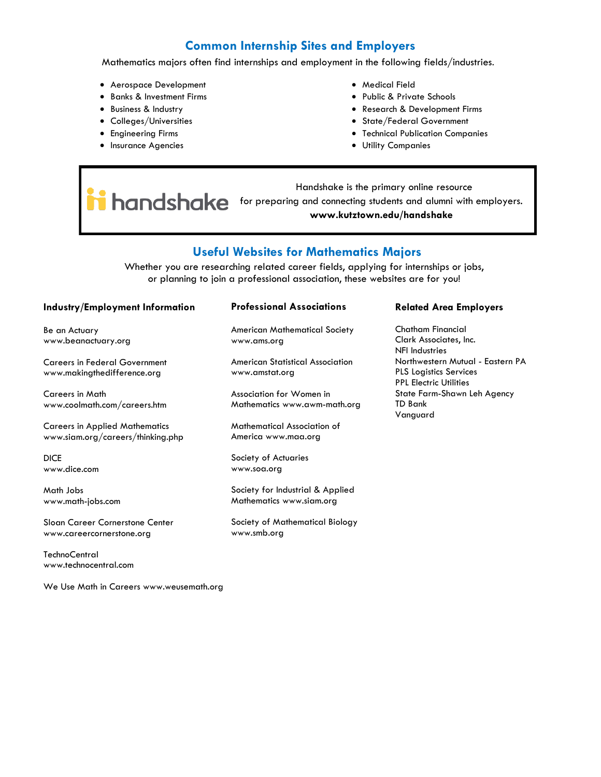# **Common Internship Sites and Employers**

Mathematics majors often find internships and employment in the following fields/industries.

- Aerospace Development
- Banks & Investment Firms
- Business & Industry
- Colleges/Universities
- Engineering Firms
- Insurance Agencies
- Medical Field
- Public & Private Schools
- Research & Development Firms
- State/Federal Government
- Technical Publication Companies
- Utility Companies

 Handshake is the primary online resource handshake for preparing and connecting students and alumni with employers. **www.kutztown.edu/handshake**

# **Useful Websites for Mathematics Majors**

Whether you are researching related career fields, applying for internships or jobs, or planning to join a professional association, these websites are for you!

#### **Industry/Employment Information**

Be an Actuary www.beanactuary.org

Careers in Federal Government www.makingthedifference.org

Careers in Math www.coolmath.com/careers.htm

Careers in Applied Mathematics www.siam.org/careers/thinking.php

DICE www.dice.com

Math Jobs www.math-jobs.com

Sloan Career Cornerstone Center www.careercornerstone.org

**TechnoCentral** www.technocentral.com

We Use Math in Careers www.weusemath.org

#### **Professional Associations**

American Mathematical Society www.ams.org

American Statistical Association www.amstat.org

Association for Women in Mathematics www.awm-math.org

Mathematical Association of America www.maa.org

Society of Actuaries www.soa.org

Society for Industrial & Applied Mathematics www.siam.org

Society of Mathematical Biology www.smb.org

#### **Related Area Employers**

Chatham Financial Clark Associates, Inc. NFI Industries Northwestern Mutual - Eastern PA PLS Logistics Services PPL Electric Utilities State Farm-Shawn Leh Agency TD Bank Vanguard